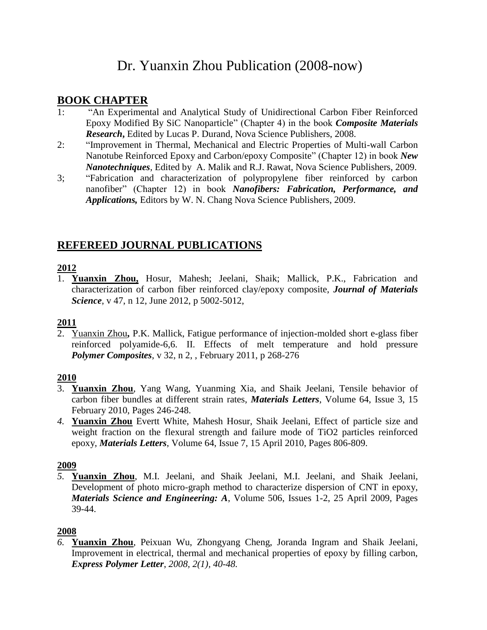# Dr. Yuanxin Zhou Publication (2008-now)

### **BOOK CHAPTER**

- 1: "An Experimental and Analytical Study of Unidirectional Carbon Fiber Reinforced Epoxy Modified By SiC Nanoparticle" (Chapter 4) in the book *Composite Materials Research***,** Edited by Lucas P. Durand, Nova Science Publishers, 2008.
- 2: "Improvement in Thermal, Mechanical and Electric Properties of Multi-wall Carbon Nanotube Reinforced Epoxy and Carbon/epoxy Composite" (Chapter 12) in book *New Nanotechniques*, Edited by A. Malik and R.J. Rawat, Nova Science Publishers, 2009.
- 3; "Fabrication and characterization of polypropylene fiber reinforced by carbon nanofiber" (Chapter 12) in book *Nanofibers: Fabrication, Performance, and Applications,* Editors by W. N. Chang Nova Science Publishers, 2009.

# **REFEREED JOURNAL PUBLICATIONS**

### **2012**

1. **Yuanxin Zhou,** Hosur, Mahesh; Jeelani, Shaik; Mallick, P.K., Fabrication and characterization of carbon fiber reinforced clay/epoxy composite, *Journal of Materials Science*, v 47, n 12, June 2012, p 5002-5012,

# $\frac{2011}{2}$

2. Yuanxin Zhou**,** P.K. Mallick, Fatigue performance of injection-molded short e-glass fiber reinforced polyamide-6,6. II. Effects of melt temperature and hold pressure *Polymer Composites*, v 32, n 2, , February 2011, p 268-276

### **2010**

- 3. **Yuanxin Zhou**, Yang Wang, Yuanming Xia, and Shaik Jeelani, Tensile behavior of carbon fiber bundles at different strain rates, *Materials Letters*, Volume 64, Issue 3, 15 February 2010, Pages 246-248.
- *4.* **Yuanxin Zhou** Evertt White, Mahesh Hosur, Shaik Jeelani, Effect of particle size and weight fraction on the flexural strength and failure mode of TiO2 particles reinforced epoxy, *Materials Letters*, Volume 64, Issue 7, 15 April 2010, Pages 806-809.

#### **2009**

*5.* **Yuanxin Zhou**, M.I. Jeelani, and Shaik Jeelani, M.I. Jeelani, and Shaik Jeelani, Development of photo micro-graph method to characterize dispersion of CNT in epoxy, *Materials Science and Engineering: A*, Volume 506, Issues 1-2, 25 April 2009, Pages 39-44.

### **2008**

*6.* **Yuanxin Zhou**, Peixuan Wu, Zhongyang Cheng, Joranda Ingram and Shaik Jeelani, Improvement in electrical, thermal and mechanical properties of epoxy by filling carbon, *Express Polymer Letter*, *2008, 2(1), 40-48.*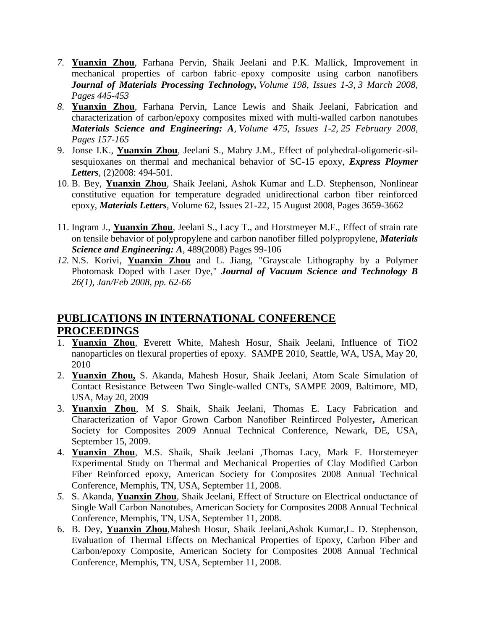- *7.* **Yuanxin Zhou**, Farhana Pervin, Shaik Jeelani and P.K. Mallick, Improvement in mechanical properties of carbon fabric–epoxy composite using carbon nanofibers *Journal of Materials Processing Technology, Volume 198, Issues 1-3, 3 March 2008, Pages 445-453*
- *8.* **Yuanxin Zhou**, Farhana Pervin, Lance Lewis and Shaik Jeelani, Fabrication and characterization of carbon/epoxy composites mixed with multi-walled carbon nanotubes *Materials Science and Engineering: A, Volume 475, Issues 1-2, 25 February 2008, Pages 157-165*
- 9. Jonse I.K., **Yuanxin Zhou**, Jeelani S., Mabry J.M., Effect of polyhedral-oligomeric-silsesquioxanes on thermal and mechanical behavior of SC-15 epoxy, *Express Ploymer Letters*, (2)2008: 494-501.
- 10. B. Bey, **Yuanxin Zhou**, Shaik Jeelani, Ashok Kumar and L.D. Stephenson, Nonlinear constitutive equation for temperature degraded unidirectional carbon fiber reinforced epoxy, *Materials Letters*, Volume 62, Issues 21-22, 15 August 2008, Pages 3659-3662
- 11. Ingram J., **Yuanxin Zhou**, Jeelani S., Lacy T., and Horstmeyer M.F., Effect of strain rate on tensile behavior of polypropylene and carbon nanofiber filled polypropylene, *Materials Science and Engineering: A*, 489(2008) Pages 99-106
- *12.* N.S. Korivi, **Yuanxin Zhou** and L. Jiang, "Grayscale Lithography by a Polymer Photomask Doped with Laser Dye," *Journal of Vacuum Science and Technology B 26(1), Jan/Feb 2008, pp. 62-66*

# **PUBLICATIONS IN INTERNATIONAL CONFERENCE PROCEEDINGS**

- 1. **Yuanxin Zhou**, Everett White, Mahesh Hosur, Shaik Jeelani, Influence of TiO2 nanoparticles on flexural properties of epoxy. SAMPE 2010, Seattle, WA, USA, May 20, 2010
- 2. **Yuanxin Zhou,** S. Akanda, Mahesh Hosur, Shaik Jeelani, Atom Scale Simulation of Contact Resistance Between Two Single-walled CNTs, SAMPE 2009, Baltimore, MD, USA, May 20, 2009
- 3. **Yuanxin Zhou**, M S. Shaik, Shaik Jeelani, Thomas E. Lacy Fabrication and Characterization of Vapor Grown Carbon Nanofiber Reinfirced Polyester**,** American Society for Composites 2009 Annual Technical Conference, Newark, DE, USA, September 15, 2009.
- 4. **Yuanxin Zhou**, M.S. Shaik, Shaik Jeelani ,Thomas Lacy, Mark F. Horstemeyer Experimental Study on Thermal and Mechanical Properties of Clay Modified Carbon Fiber Reinforced epoxy, American Society for Composites 2008 Annual Technical Conference, Memphis, TN, USA, September 11, 2008.
- *5.* S. Akanda, **Yuanxin Zhou**, Shaik Jeelani, Effect of Structure on Electrical onductance of Single Wall Carbon Nanotubes, American Society for Composites 2008 Annual Technical Conference, Memphis, TN, USA, September 11, 2008.
- 6. B. Dey, **Yuanxin Zhou**,Mahesh Hosur, Shaik Jeelani,Ashok Kumar,L. D. Stephenson, Evaluation of Thermal Effects on Mechanical Properties of Epoxy, Carbon Fiber and Carbon/epoxy Composite, American Society for Composites 2008 Annual Technical Conference, Memphis, TN, USA, September 11, 2008.